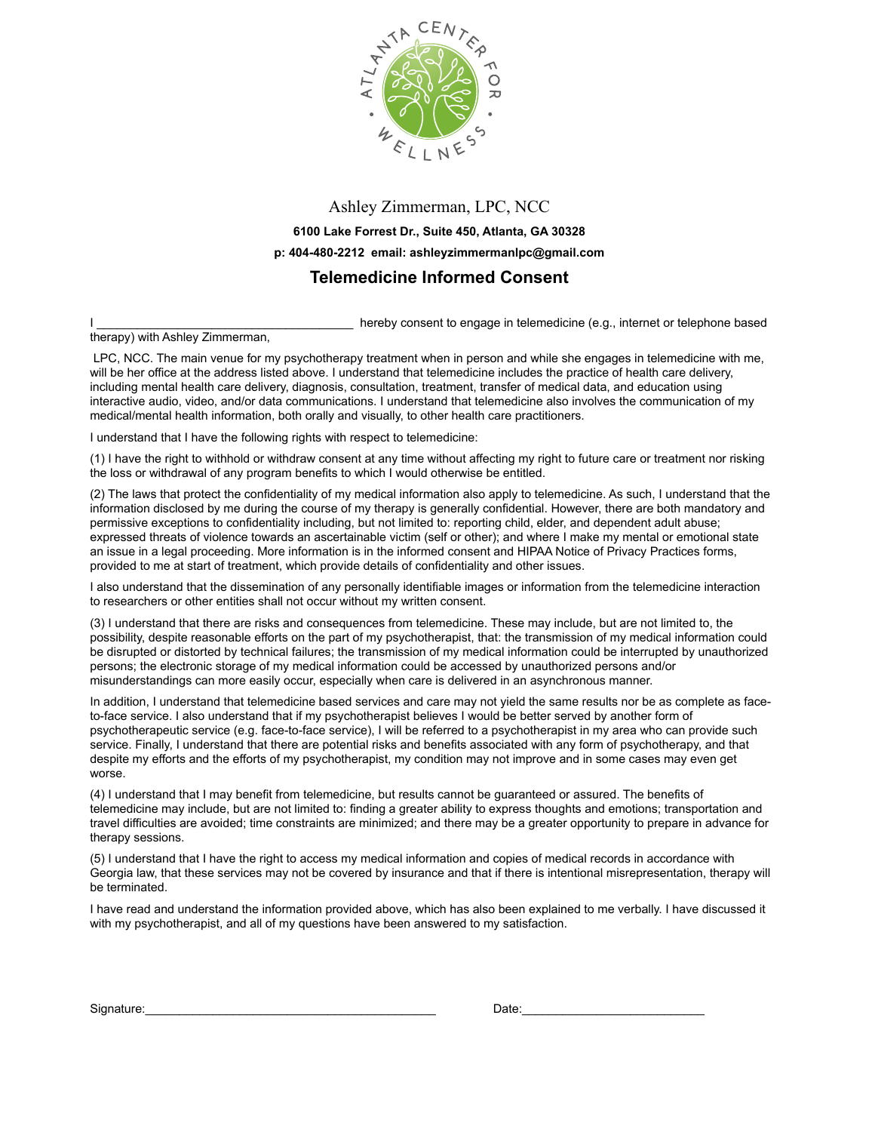

## Ashley Zimmerman, LPC, NCC **6100 Lake Forrest Dr., Suite 450, Atlanta, GA 30328 p: 404-480-2212 email: ashleyzimmermanlpc@gmail.com Telemedicine Informed Consent**

I \_\_\_\_\_\_\_\_\_\_\_\_\_\_\_\_\_\_\_\_\_\_\_\_\_\_\_\_\_\_\_\_\_\_\_\_\_\_ hereby consent to engage in telemedicine (e.g., internet or telephone based

therapy) with Ashley Zimmerman,

 LPC, NCC. The main venue for my psychotherapy treatment when in person and while she engages in telemedicine with me, will be her office at the address listed above. I understand that telemedicine includes the practice of health care delivery, including mental health care delivery, diagnosis, consultation, treatment, transfer of medical data, and education using interactive audio, video, and/or data communications. I understand that telemedicine also involves the communication of my medical/mental health information, both orally and visually, to other health care practitioners.

I understand that I have the following rights with respect to telemedicine:

(1) I have the right to withhold or withdraw consent at any time without affecting my right to future care or treatment nor risking the loss or withdrawal of any program benefits to which I would otherwise be entitled.

(2) The laws that protect the confidentiality of my medical information also apply to telemedicine. As such, I understand that the information disclosed by me during the course of my therapy is generally confidential. However, there are both mandatory and permissive exceptions to confidentiality including, but not limited to: reporting child, elder, and dependent adult abuse; expressed threats of violence towards an ascertainable victim (self or other); and where I make my mental or emotional state an issue in a legal proceeding. More information is in the informed consent and HIPAA Notice of Privacy Practices forms, provided to me at start of treatment, which provide details of confidentiality and other issues.

I also understand that the dissemination of any personally identifiable images or information from the telemedicine interaction to researchers or other entities shall not occur without my written consent.

(3) I understand that there are risks and consequences from telemedicine. These may include, but are not limited to, the possibility, despite reasonable efforts on the part of my psychotherapist, that: the transmission of my medical information could be disrupted or distorted by technical failures; the transmission of my medical information could be interrupted by unauthorized persons; the electronic storage of my medical information could be accessed by unauthorized persons and/or misunderstandings can more easily occur, especially when care is delivered in an asynchronous manner.

In addition, I understand that telemedicine based services and care may not yield the same results nor be as complete as faceto-face service. I also understand that if my psychotherapist believes I would be better served by another form of psychotherapeutic service (e.g. face-to-face service), I will be referred to a psychotherapist in my area who can provide such service. Finally, I understand that there are potential risks and benefits associated with any form of psychotherapy, and that despite my efforts and the efforts of my psychotherapist, my condition may not improve and in some cases may even get worse.

(4) I understand that I may benefit from telemedicine, but results cannot be guaranteed or assured. The benefits of telemedicine may include, but are not limited to: finding a greater ability to express thoughts and emotions; transportation and travel difficulties are avoided; time constraints are minimized; and there may be a greater opportunity to prepare in advance for therapy sessions.

(5) I understand that I have the right to access my medical information and copies of medical records in accordance with Georgia law, that these services may not be covered by insurance and that if there is intentional misrepresentation, therapy will be terminated.

I have read and understand the information provided above, which has also been explained to me verbally. I have discussed it with my psychotherapist, and all of my questions have been answered to my satisfaction.

Signature:\_\_\_\_\_\_\_\_\_\_\_\_\_\_\_\_\_\_\_\_\_\_\_\_\_\_\_\_\_\_\_\_\_\_\_\_\_\_\_\_\_\_\_ Date:\_\_\_\_\_\_\_\_\_\_\_\_\_\_\_\_\_\_\_\_\_\_\_\_\_\_\_